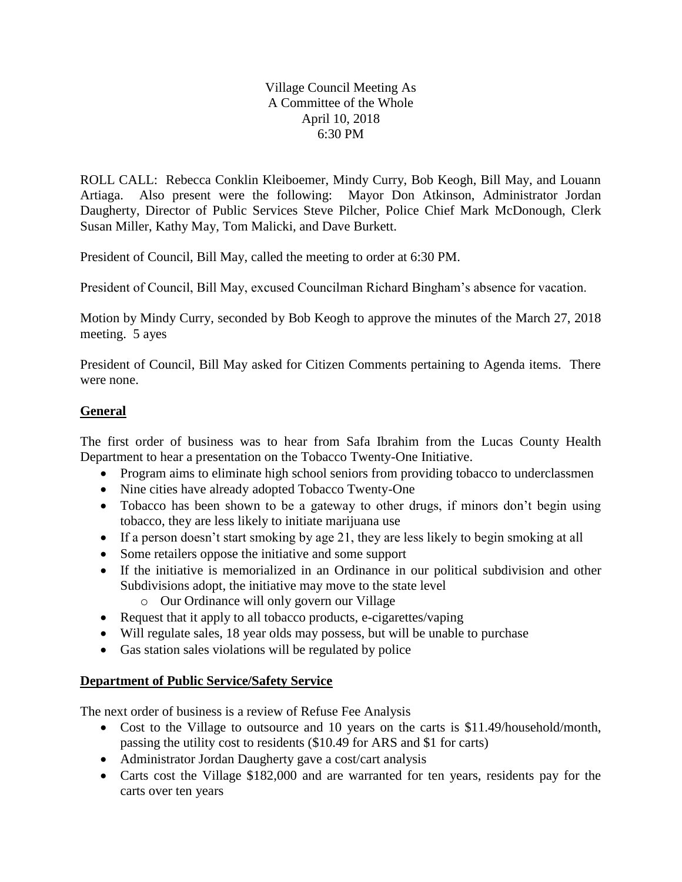## Village Council Meeting As A Committee of the Whole April 10, 2018 6:30 PM

ROLL CALL: Rebecca Conklin Kleiboemer, Mindy Curry, Bob Keogh, Bill May, and Louann Artiaga. Also present were the following: Mayor Don Atkinson, Administrator Jordan Daugherty, Director of Public Services Steve Pilcher, Police Chief Mark McDonough, Clerk Susan Miller, Kathy May, Tom Malicki, and Dave Burkett.

President of Council, Bill May, called the meeting to order at 6:30 PM.

President of Council, Bill May, excused Councilman Richard Bingham's absence for vacation.

Motion by Mindy Curry, seconded by Bob Keogh to approve the minutes of the March 27, 2018 meeting. 5 ayes

President of Council, Bill May asked for Citizen Comments pertaining to Agenda items. There were none.

## **General**

The first order of business was to hear from Safa Ibrahim from the Lucas County Health Department to hear a presentation on the Tobacco Twenty-One Initiative.

- Program aims to eliminate high school seniors from providing tobacco to underclassmen
- Nine cities have already adopted Tobacco Twenty-One
- Tobacco has been shown to be a gateway to other drugs, if minors don't begin using tobacco, they are less likely to initiate marijuana use
- If a person doesn't start smoking by age 21, they are less likely to begin smoking at all
- Some retailers oppose the initiative and some support
- If the initiative is memorialized in an Ordinance in our political subdivision and other Subdivisions adopt, the initiative may move to the state level
	- o Our Ordinance will only govern our Village
- Request that it apply to all tobacco products, e-cigarettes/vaping
- Will regulate sales, 18 year olds may possess, but will be unable to purchase
- Gas station sales violations will be regulated by police

## **Department of Public Service/Safety Service**

The next order of business is a review of Refuse Fee Analysis

- Cost to the Village to outsource and 10 years on the carts is \$11.49/household/month, passing the utility cost to residents (\$10.49 for ARS and \$1 for carts)
- Administrator Jordan Daugherty gave a cost/cart analysis
- Carts cost the Village \$182,000 and are warranted for ten years, residents pay for the carts over ten years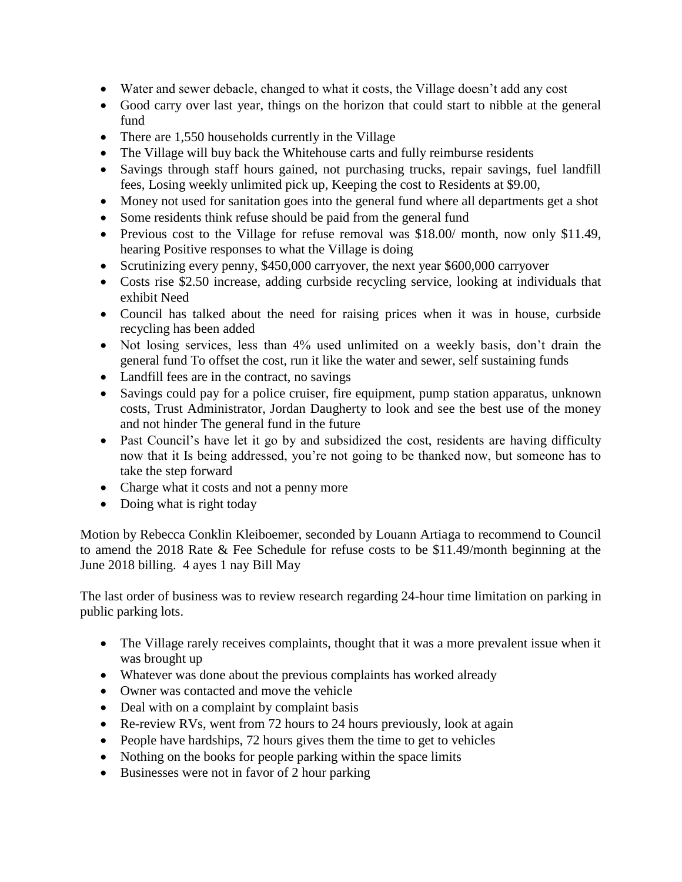- Water and sewer debacle, changed to what it costs, the Village doesn't add any cost
- Good carry over last year, things on the horizon that could start to nibble at the general fund
- There are 1,550 households currently in the Village
- The Village will buy back the Whitehouse carts and fully reimburse residents
- Savings through staff hours gained, not purchasing trucks, repair savings, fuel landfill fees, Losing weekly unlimited pick up, Keeping the cost to Residents at \$9.00,
- Money not used for sanitation goes into the general fund where all departments get a shot
- Some residents think refuse should be paid from the general fund
- Previous cost to the Village for refuse removal was \$18.00/ month, now only \$11.49, hearing Positive responses to what the Village is doing
- Scrutinizing every penny, \$450,000 carryover, the next year \$600,000 carryover
- Costs rise \$2.50 increase, adding curbside recycling service, looking at individuals that exhibit Need
- Council has talked about the need for raising prices when it was in house, curbside recycling has been added
- Not losing services, less than 4% used unlimited on a weekly basis, don't drain the general fund To offset the cost, run it like the water and sewer, self sustaining funds
- Landfill fees are in the contract, no savings
- Savings could pay for a police cruiser, fire equipment, pump station apparatus, unknown costs, Trust Administrator, Jordan Daugherty to look and see the best use of the money and not hinder The general fund in the future
- Past Council's have let it go by and subsidized the cost, residents are having difficulty now that it Is being addressed, you're not going to be thanked now, but someone has to take the step forward
- Charge what it costs and not a penny more
- Doing what is right today

Motion by Rebecca Conklin Kleiboemer, seconded by Louann Artiaga to recommend to Council to amend the 2018 Rate & Fee Schedule for refuse costs to be \$11.49/month beginning at the June 2018 billing. 4 ayes 1 nay Bill May

The last order of business was to review research regarding 24-hour time limitation on parking in public parking lots.

- The Village rarely receives complaints, thought that it was a more prevalent issue when it was brought up
- Whatever was done about the previous complaints has worked already
- Owner was contacted and move the vehicle
- Deal with on a complaint by complaint basis
- Re-review RVs, went from 72 hours to 24 hours previously, look at again
- People have hardships, 72 hours gives them the time to get to vehicles
- Nothing on the books for people parking within the space limits
- Businesses were not in favor of 2 hour parking